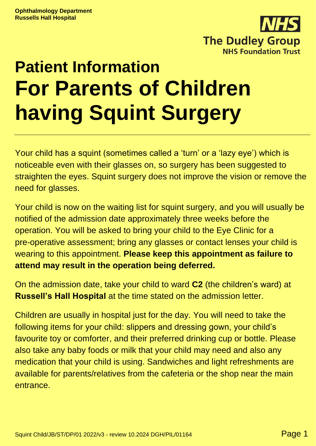

# **Patient Information For Parents of Children having Squint Surgery**

Your child has a squint (sometimes called a 'turn' or a 'lazy eye') which is noticeable even with their glasses on, so surgery has been suggested to straighten the eyes. Squint surgery does not improve the vision or remove the need for glasses.

Your child is now on the waiting list for squint surgery, and you will usually be notified of the admission date approximately three weeks before the operation. You will be asked to bring your child to the Eye Clinic for a pre-operative assessment; bring any glasses or contact lenses your child is wearing to this appointment. **Please keep this appointment as failure to attend may result in the operation being deferred.**

On the admission date, take your child to ward **C2** (the children's ward) at **Russell's Hall Hospital** at the time stated on the admission letter.

Children are usually in hospital just for the day. You will need to take the following items for your child: slippers and dressing gown, your child's favourite toy or comforter, and their preferred drinking cup or bottle. Please also take any baby foods or milk that your child may need and also any medication that your child is using. Sandwiches and light refreshments are available for parents/relatives from the cafeteria or the shop near the main entrance.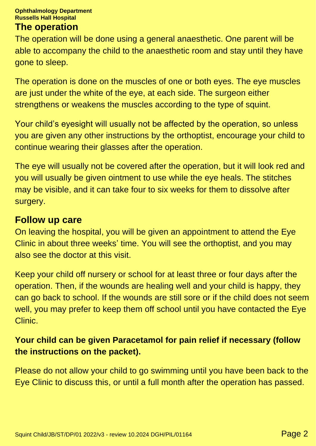#### **Ophthalmology Department Russells Hall Hospital**

#### **The operation**

The operation will be done using a general anaesthetic. One parent will be able to accompany the child to the anaesthetic room and stay until they have gone to sleep.

The operation is done on the muscles of one or both eyes. The eye muscles are just under the white of the eye, at each side. The surgeon either strengthens or weakens the muscles according to the type of squint.

Your child's eyesight will usually not be affected by the operation, so unless you are given any other instructions by the orthoptist, encourage your child to continue wearing their glasses after the operation.

The eye will usually not be covered after the operation, but it will look red and you will usually be given ointment to use while the eye heals. The stitches may be visible, and it can take four to six weeks for them to dissolve after surgery.

#### **Follow up care**

On leaving the hospital, you will be given an appointment to attend the Eye Clinic in about three weeks' time. You will see the orthoptist, and you may also see the doctor at this visit.

Keep your child off nursery or school for at least three or four days after the operation. Then, if the wounds are healing well and your child is happy, they can go back to school. If the wounds are still sore or if the child does not seem well, you may prefer to keep them off school until you have contacted the Eye Clinic.

#### **Your child can be given Paracetamol for pain relief if necessary (follow the instructions on the packet).**

Please do not allow your child to go swimming until you have been back to the Eye Clinic to discuss this, or until a full month after the operation has passed.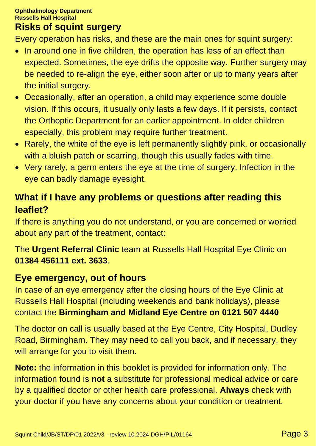### **Risks of squint surgery**

Every operation has risks, and these are the main ones for squint surgery:

- In around one in five children, the operation has less of an effect than expected. Sometimes, the eye drifts the opposite way. Further surgery may be needed to re-align the eye, either soon after or up to many years after the initial surgery.
- Occasionally, after an operation, a child may experience some double vision. If this occurs, it usually only lasts a few days. If it persists, contact the Orthoptic Department for an earlier appointment. In older children especially, this problem may require further treatment.
- Rarely, the white of the eye is left permanently slightly pink, or occasionally with a bluish patch or scarring, though this usually fades with time.
- Very rarely, a germ enters the eye at the time of surgery. Infection in the eye can badly damage eyesight.

# **What if I have any problems or questions after reading this leaflet?**

If there is anything you do not understand, or you are concerned or worried about any part of the treatment, contact:

The **Urgent Referral Clinic** team at Russells Hall Hospital Eye Clinic on **01384 456111 ext. 3633**.

## **Eye emergency, out of hours**

In case of an eye emergency after the closing hours of the Eye Clinic at Russells Hall Hospital (including weekends and bank holidays), please contact the **Birmingham and Midland Eye Centre on 0121 507 4440**

The doctor on call is usually based at the Eye Centre, City Hospital, Dudley Road, Birmingham. They may need to call you back, and if necessary, they will arrange for you to visit them.

**Note:** the information in this booklet is provided for information only. The information found is **not** a substitute for professional medical advice or care by a qualified doctor or other health care professional. **Always** check with your doctor if you have any concerns about your condition or treatment.